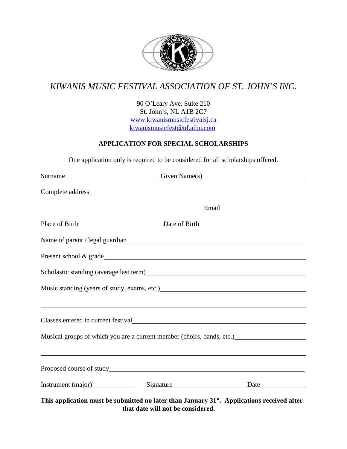

# *KIWANIS MUSIC FESTIVAL ASSOCIATION OF ST. JOHN'S INC.*

90 O'Leary Ave. Suite 210 St. John's, NL A1B 2C7 www.kiwanismusicfestivalsj.ca kiwanismusicfest@nf.aibn.com

### **APPLICATION FOR SPECIAL SCHOLARSHIPS**

One application only is required to be considered for all scholarships offered.

| Surname <u>Surname Civen Name(s)</u>                                                                                 |  |
|----------------------------------------------------------------------------------------------------------------------|--|
|                                                                                                                      |  |
|                                                                                                                      |  |
|                                                                                                                      |  |
|                                                                                                                      |  |
|                                                                                                                      |  |
|                                                                                                                      |  |
|                                                                                                                      |  |
|                                                                                                                      |  |
| Musical groups of which you are a current member (choirs, bands, etc.) _____________________________                 |  |
| <u> 1989 - Andrea Santa Andrea Santa Andrea Santa Andrea Santa Andrea Santa Andrea Santa Andrea Santa Andrea San</u> |  |
| Instrument (major) Signature Signature Date                                                                          |  |
| This application must be submitted no later than January 31 <sup>st</sup> . Applications received after              |  |

**that date will not be considered.**